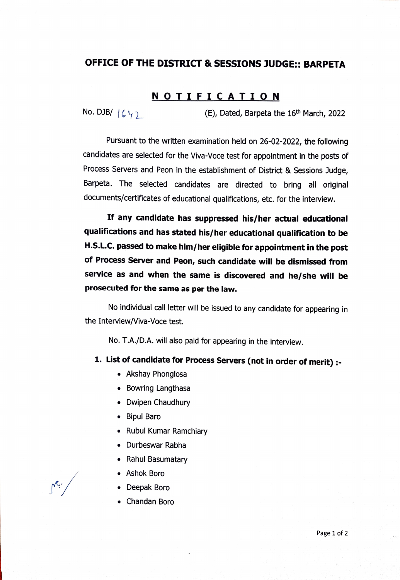## OFFICE OF THE DISTRICT & SESSIONS JUDGE:: BARPETA

## **NOTIFICATION**

No. DJB/  $| \zeta \setminus \gamma|$  (E), Dated, Barpeta the 16<sup>th</sup> March, 2022

Pursuant to the written examination held on 26-02-2022, the following candidates are selected for the Viva-Voce test for appointment in the posts of Process Servers and Peon in the establishment of District & Sessions Judge, Barpeta. The selected candidates are directed to bring all original documents/certificates of educational qualifications, etc. for the interview.

If any candidate has suppressed his/her actual educational qualifications and has stated his/her educational qualification to be H.S.L.C. passed to make him/her eligible for appointment in the post of Process Server and Peon, such candidate will be dismissed from service as and when the same is discovered and he/she will be prosecuted for the same as per the law.

No individual call letter will be issued to any candidate for appearing in the Interview/Viva-Voce test.

No. T.A./D.A. will also paid for appearing in the interview.

## 1. List of candidate for Process Servers (not in order of merit)

- Akshay Phonglosa
- Bowring Langthasa
- Dwipen Chaudhury
- Bipul Baro
- Rubul Kumar Ramchiary
- Durbeswar Rabha
- Rahul Basumatary
- Ashok Boro
- .Deepak Boro . Chandan Boro
-